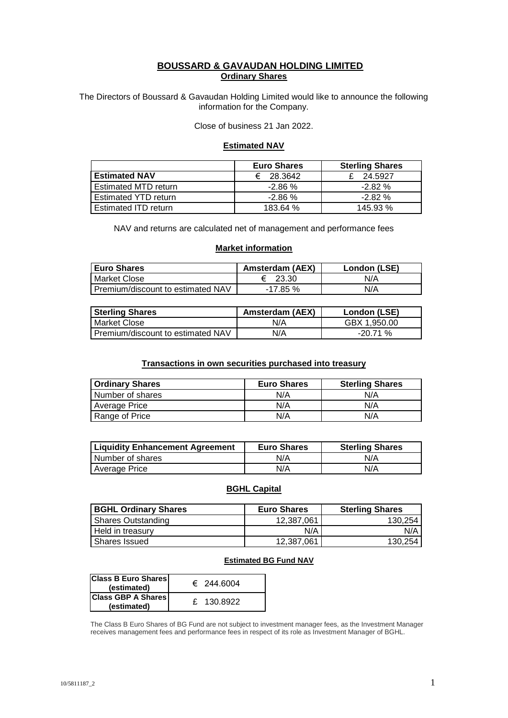## **BOUSSARD & GAVAUDAN HOLDING LIMITED Ordinary Shares**

The Directors of Boussard & Gavaudan Holding Limited would like to announce the following information for the Company.

Close of business 21 Jan 2022.

### **Estimated NAV**

|                             | <b>Euro Shares</b> | <b>Sterling Shares</b> |
|-----------------------------|--------------------|------------------------|
| <b>Estimated NAV</b>        | 28.3642<br>€       | 24.5927                |
| <b>Estimated MTD return</b> | $-2.86\%$          | $-2.82\%$              |
| <b>Estimated YTD return</b> | $-2.86%$           | $-2.82%$               |
| Estimated ITD return        | 183.64 %           | 145.93 %               |

NAV and returns are calculated net of management and performance fees

## **Market information**

| <b>Euro Shares</b>                | Amsterdam (AEX) | London (LSE) |
|-----------------------------------|-----------------|--------------|
| Market Close                      | 23.30           | N/A          |
| Premium/discount to estimated NAV | $-17.85%$       | N/A          |

| <b>Sterling Shares</b>            | <b>Amsterdam (AEX)</b> | London (LSE) |
|-----------------------------------|------------------------|--------------|
| I Market Close                    | N/A                    | GBX 1.950.00 |
| Premium/discount to estimated NAV | N/A                    | $-20.71%$    |

## **Transactions in own securities purchased into treasury**

| <b>Ordinary Shares</b> | <b>Euro Shares</b> | <b>Sterling Shares</b> |
|------------------------|--------------------|------------------------|
| Number of shares       | N/A                | N/A                    |
| Average Price          | N/A                | N/A                    |
| Range of Price         | N/A                | N/A                    |

| <b>Liquidity Enhancement Agreement</b> | <b>Euro Shares</b> | <b>Sterling Shares</b> |
|----------------------------------------|--------------------|------------------------|
| l Number of shares                     | N/A                | N/A                    |
| <b>Average Price</b>                   | N/A                | N/A                    |

# **BGHL Capital**

| <b>BGHL Ordinary Shares</b> | <b>Euro Shares</b> | <b>Sterling Shares</b> |
|-----------------------------|--------------------|------------------------|
| <b>Shares Outstanding</b>   | 12.387.061         | 130.254                |
| Held in treasury            | N/A                | N/A                    |
| Shares Issued               | 12.387.061         | 130.254                |

### **Estimated BG Fund NAV**

| <b>Class B Euro Shares</b><br>(estimated) | € 244.6004 |
|-------------------------------------------|------------|
| <b>Class GBP A Shares</b><br>(estimated)  | £ 130.8922 |

The Class B Euro Shares of BG Fund are not subject to investment manager fees, as the Investment Manager receives management fees and performance fees in respect of its role as Investment Manager of BGHL.